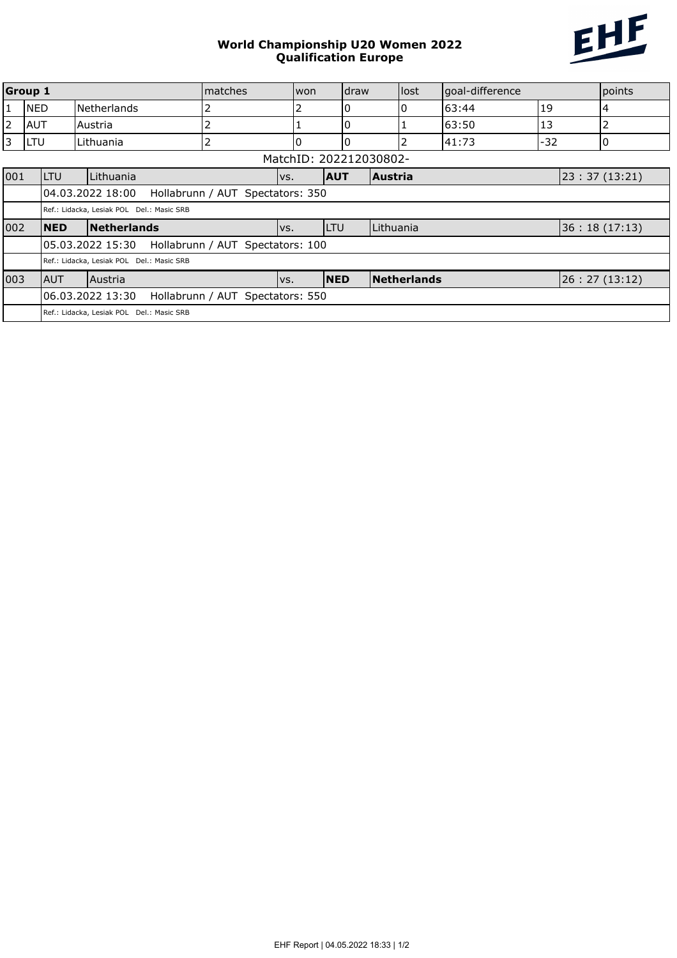## World Championship U20 Women 2022 Qualification Europe



| Group 1<br>Imatches    |                                                       |                                                       |                | won        | draw       |                | lost           | goal-difference |               |              | points |
|------------------------|-------------------------------------------------------|-------------------------------------------------------|----------------|------------|------------|----------------|----------------|-----------------|---------------|--------------|--------|
| 1                      | <b>NED</b>                                            | Netherlands                                           | 2              |            | 0          |                | 0              | 63:44           | 19            |              | 4      |
| $\overline{2}$         | <b>AUT</b>                                            | Austria                                               | 2              |            | 0          |                |                | 63:50           | 13            |              | 2      |
| 3                      | <b>LTU</b>                                            | Lithuania                                             | $\overline{2}$ | 10         | 0          |                | $\overline{2}$ | 41:73           | $-32$         |              |        |
| MatchID: 202212030802- |                                                       |                                                       |                |            |            |                |                |                 |               |              |        |
| 001                    | <b>ILTU</b>                                           | Lithuania                                             | VS.            | <b>AUT</b> |            | <b>Austria</b> |                |                 | 23:37 (13:21) |              |        |
|                        | l04.03.2022 18:00<br>Hollabrunn / AUT Spectators: 350 |                                                       |                |            |            |                |                |                 |               |              |        |
|                        | Ref.: Lidacka, Lesiak POL Del.: Masic SRB             |                                                       |                |            |            |                |                |                 |               |              |        |
| 002                    | <b>NED</b>                                            | Netherlands                                           |                | VS.        | <b>LTU</b> |                | Lithuania      |                 |               | 36:18(17:13) |        |
|                        |                                                       | 105.03.2022 15:30<br>Hollabrunn / AUT Spectators: 100 |                |            |            |                |                |                 |               |              |        |
|                        |                                                       | Ref.: Lidacka, Lesiak POL Del.: Masic SRB             |                |            |            |                |                |                 |               |              |        |
| 003                    | <b>AUT</b>                                            | Austria                                               |                | VS.        | <b>NED</b> |                | Netherlands    |                 |               | 26:27(13:12) |        |
|                        |                                                       | 06.03.2022 13:30<br>Hollabrunn / AUT Spectators: 550  |                |            |            |                |                |                 |               |              |        |
|                        |                                                       | Ref.: Lidacka, Lesiak POL Del.: Masic SRB             |                |            |            |                |                |                 |               |              |        |